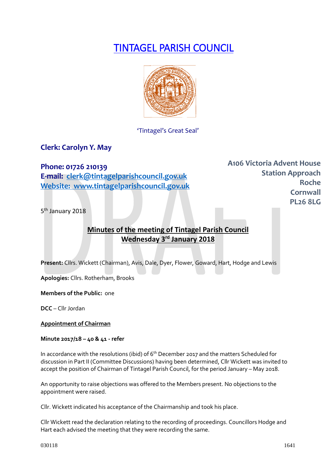# TINTAGEL PARISH COUNCIL



### 'Tintagel's Great Seal'

# **Clerk: Carolyn Y. May**

## **Phone: 01726 210139**

**E-mail: [clerk@tintagelparishcouncil.gov.uk](mailto:clerk@tintagelparishcouncil.gov.uk) Website: www.tintagelparishcouncil.gov.uk** **A106 Victoria Advent House Station Approach Roche Cornwall PL26 8LG**

5<sup>th</sup> January 2018

# **Minutes of the meeting of Tintagel Parish Council Wednesday 3 rd January 2018**

**Present:** Cllrs. Wickett (Chairman), Avis, Dale, Dyer, Flower, Goward, Hart, Hodge and Lewis

**Apologies:** Cllrs. Rotherham, Brooks

**Members of the Public:** one

**DCC** – Cllr Jordan

**Appointment of Chairman**

**Minute 2017/18 – 40 & 41 - refer**

In accordance with the resolutions (ibid) of  $6<sup>th</sup>$  December 2017 and the matters Scheduled for discussion in Part II (Committee Discussions) having been determined, Cllr Wickett was invited to accept the position of Chairman of Tintagel Parish Council, for the period January – May 2018.

An opportunity to raise objections was offered to the Members present. No objections to the appointment were raised.

Cllr. Wickett indicated his acceptance of the Chairmanship and took his place.

Cllr Wickett read the declaration relating to the recording of proceedings. Councillors Hodge and Hart each advised the meeting that they were recording the same.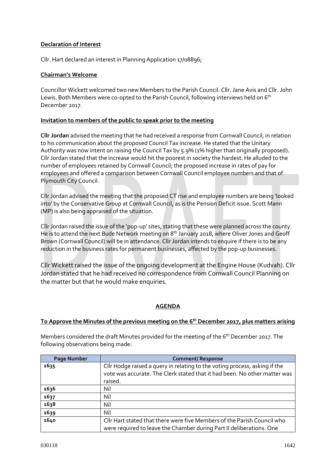#### **Declaration of Interest**

Cllr. Hart declared an interest in Planning Application 17/08896;

#### **Chairman's Welcome**

Councillor Wickett welcomed two new Members to the Parish Council. Cllr. Jane Avis and Cllr. John Lewis. Both Members were co-opted to the Parish Council, following interviews held on 6<sup>th</sup> December 2017.

#### **Invitation to members of the public to speak prior to the meeting**

**Cllr Jordan** advised the meeting that he had received a response from Cornwall Council, in relation to his communication about the proposed Council Tax increase. He stated that the Unitary Authority was now intent on raising the Council Tax by 5.9% (1% higher than originally proposed). Cllr Jordan stated that the increase would hit the poorest in society the hardest. He alluded to the number of employees retained by Cornwall Council; the proposed increase in rates of pay for employees and offered a comparison between Cornwall Council employee numbers and that of Plymouth City Council.

Cllr Jordan advised the meeting that the proposed CT rise and employee numbers are being 'looked into' by the Conservative Group at Cornwall Council, as is the Pension Deficit issue. Scott Mann (MP) is also being appraised of the situation.

Cllr Jordan raised the issue of the 'pop-up' sites, stating that these were planned across the county. He is to attend the next Bude Network meeting on 8<sup>th</sup> January 2018, where Oliver Jones and Geoff Brown (Cornwall Council) will be in attendance. Cllr Jordan intends to enquire if there is to be any reduction in the business rates for permanent businesses, affected by the pop-up businesses.

Cllr Wickett raised the issue of the ongoing development at the Engine House (Kudvah). Cllr Jordan stated that he had received no correspondence from Cornwall Council Planning on the matter but that he would make enquiries.

#### **AGENDA**

#### **To Approve the Minutes of the previous meeting on the 6 th December 2017, plus matters arising**

Members considered the draft Minutes provided for the meeting of the 6<sup>th</sup> December 2017. The following observations being made:

| <b>Page Number</b> | <b>Comment/ Response</b>                                                   |
|--------------------|----------------------------------------------------------------------------|
| 1635               | Cllr Hodge raised a query in relating to the voting process, asking if the |
|                    | vote was accurate. The Clerk stated that it had been. No other matter was  |
|                    | raised.                                                                    |
| 1636               | Nil                                                                        |
| 1637               | Nil                                                                        |
| 1638               | Nil                                                                        |
| 1639               | Nil                                                                        |
| 1640               | Cllr Hart stated that there were five Members of the Parish Council who    |
|                    | were required to leave the Chamber during Part II deliberations. One       |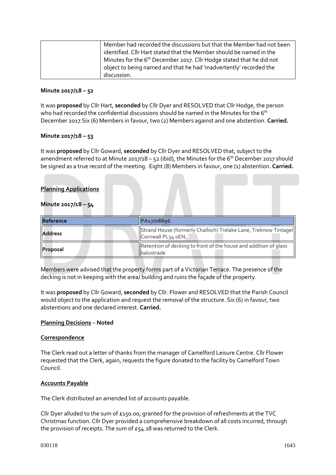| Member had recorded the discussions but that the Member had not been             |
|----------------------------------------------------------------------------------|
| identified. Cllr Hart stated that the Member should be named in the              |
| Minutes for the 6 <sup>th</sup> December 2017. Cllr Hodge stated that he did not |
| object to being named and that he had 'inadvertently' recorded the               |
| discussion.                                                                      |

#### **Minute 2017/18 – 52**

It was **proposed** by Cllr Hart, **seconded** by Cllr Dyer and RESOLVED that Cllr Hodge, the person who had recorded the confidential discussions should be named in the Minutes for the 6<sup>th</sup> December 2017.Six (6) Members in favour, two (2) Members against and one abstention. **Carried.**

#### **Minute 2017/18 – 53**

It was **proposed** by Cllr Goward, **seconded** by Cllr Dyer and RESOLVED that, subject to the amendment referred to at Minute 2017/18 – 52 (ibid), the Minutes for the  $6<sup>th</sup>$  December 2017 should be signed as a true record of the meeting. Eight (8) Members in favour, one (1) abstention. **Carried.**

#### **Planning Applications**

#### **Minute 2017/18 – 54**

| Reference      | PA17/08896                                                                             |
|----------------|----------------------------------------------------------------------------------------|
| <b>Address</b> | Strand House (formerly Challoch) Trelake Lane, Treknow Tintagel<br>Cornwall PL34 oEN   |
| Proposal       | Retention of decking to front of the house and addition of glass<br><b>Ibalustrade</b> |

Members were advised that the property forms part of a Victorian Terrace. The presence of the decking is not in keeping with the area/ building and ruins the façade of the property.

It was **proposed** by Cllr Goward, **seconded** by Cllr. Flower and RESOLVED that the Parish Council would object to the application and request the removal of the structure. Six (6) in favour, two abstentions and one declared interest. **Carried.**

#### **Planning Decisions** – **Noted**

#### **Correspondence**

The Clerk read out a letter of thanks from the manager of Camelford Leisure Centre. Cllr Flower requested that the Clerk, again, requests the figure donated to the facility by Camelford Town Council.

#### **Accounts Payable**

The Clerk distributed an amended list of accounts payable.

Cllr Dyer alluded to the sum of £150.00, granted for the provision of refreshments at the TVC Christmas function. Cllr Dyer provided a comprehensive breakdown of all costs incurred, through the provision of receipts. The sum of £54.18 was returned to the Clerk.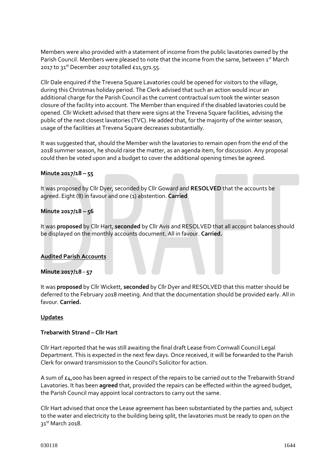Members were also provided with a statement of income from the public lavatories owned by the Parish Council. Members were pleased to note that the income from the same, between 1st March 2017 to 31<sup>st</sup> December 2017 totalled £11,971.55.

Cllr Dale enquired if the Trevena Square Lavatories could be opened for visitors to the village, during this Christmas holiday period. The Clerk advised that such an action would incur an additional charge for the Parish Council as the current contractual sum took the winter season closure of the facility into account. The Member than enquired if the disabled lavatories could be opened. Cllr Wickett advised that there were signs at the Trevena Square facilities, advising the public of the next closest lavatories (TVC). He added that, for the majority of the winter season, usage of the facilities at Trevena Square decreases substantially.

It was suggested that, should the Member wish the lavatories to remain open from the end of the 2018 summer season, he should raise the matter, as an agenda item, for discussion. Any proposal could then be voted upon and a budget to cover the additional opening times be agreed.

#### **Minute 2017/18 – 55**

It was proposed by Cllr Dyer, seconded by Cllr Goward and **RESOLVED** that the accounts be agreed. Eight (8) in favour and one (1) abstention. **Carried**

#### **Minute 2017/18 – 56**

It was **proposed** by Cllr Hart, **seconded** by Cllr Avis and RESOLVED that all account balances should be displayed on the monthly accounts document. All in favour. **Carried.**

#### **Audited Parish Accounts**

#### **Minute 2017/18 - 57**

It was **proposed** by Cllr Wickett, **seconded** by Cllr Dyer and RESOLVED that this matter should be deferred to the February 2018 meeting. And that the documentation should be provided early. All in favour. **Carried.**

#### **Updates**

#### **Trebarwith Strand – Cllr Hart**

Cllr Hart reported that he was still awaiting the final draft Lease from Cornwall Council Legal Department. This is expected in the next few days. Once received, it will be forwarded to the Parish Clerk for onward transmission to the Council's Solicitor for action.

A sum of  $\epsilon_4$ ,000 has been agreed in respect of the repairs to be carried out to the Trebarwith Strand Lavatories. It has been **agreed** that, provided the repairs can be effected within the agreed budget, the Parish Council may appoint local contractors to carry out the same.

Cllr Hart advised that once the Lease agreement has been substantiated by the parties and, subject to the water and electricity to the building being split, the lavatories must be ready to open on the 31st March 2018.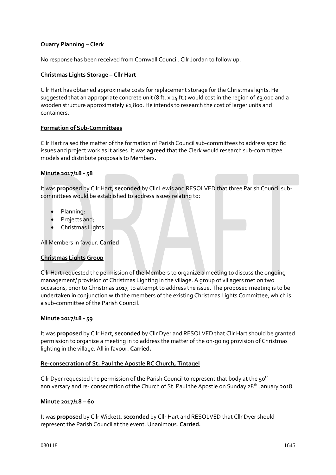#### **Quarry Planning – Clerk**

No response has been received from Cornwall Council. Cllr Jordan to follow up.

#### **Christmas Lights Storage – Cllr Hart**

Cllr Hart has obtained approximate costs for replacement storage for the Christmas lights. He suggested that an appropriate concrete unit (8 ft.  $x$  14 ft.) would cost in the region of  $\epsilon$ 3,000 and a wooden structure approximately £1,800. He intends to research the cost of larger units and containers.

#### **Formation of Sub-Committees**

Cllr Hart raised the matter of the formation of Parish Council sub-committees to address specific issues and project work as it arises. It was **agreed** that the Clerk would research sub-committee models and distribute proposals to Members.

#### **Minute 2017/18 - 58**

It was **proposed** by Cllr Hart, **seconded** by Cllr Lewis and RESOLVED that three Parish Council subcommittees would be established to address issues relating to:

- Planning;
- Projects and;
- Christmas Lights

All Members in favour. **Carried**

#### **Christmas Lights Group**

Cllr Hart requested the permission of the Members to organize a meeting to discuss the ongoing management/ provision of Christmas Lighting in the village. A group of villagers met on two occasions, prior to Christmas 2017, to attempt to address the issue. The proposed meeting is to be undertaken in conjunction with the members of the existing Christmas Lights Committee, which is a sub-committee of the Parish Council.

#### **Minute 2017/18 - 59**

It was **proposed** by Cllr Hart, **seconded** by Cllr Dyer and RESOLVED that Cllr Hart should be granted permission to organize a meeting in to address the matter of the on-going provision of Christmas lighting in the village. All in favour. **Carried.**

#### **Re-consecration of St. Paul the Apostle RC Church, Tintagel**

Cllr Dyer requested the permission of the Parish Council to represent that body at the  $50<sup>th</sup>$ anniversary and re- consecration of the Church of St. Paul the Apostle on Sunday 28<sup>th</sup> January 2018.

#### **Minute 2017/18 – 60**

It was **proposed** by Cllr Wickett, **seconded** by Cllr Hart and RESOLVED that Cllr Dyer should represent the Parish Council at the event. Unanimous. **Carried.**